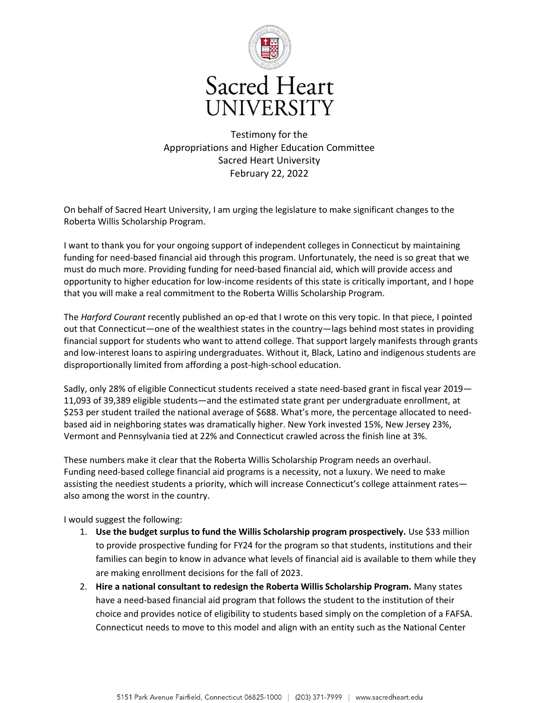

## **Sacred Heart** UNIVERSITY

Testimony for the Appropriations and Higher Education Committee Sacred Heart University February 22, 2022

On behalf of Sacred Heart University, I am urging the legislature to make significant changes to the Roberta Willis Scholarship Program.

I want to thank you for your ongoing support of independent colleges in Connecticut by maintaining funding for need-based financial aid through this program. Unfortunately, the need is so great that we must do much more. Providing funding for need-based financial aid, which will provide access and opportunity to higher education for low-income residents of this state is critically important, and I hope that you will make a real commitment to the Roberta Willis Scholarship Program.

The *Harford Courant* recently published an op-ed that I wrote on this very topic. In that piece, I pointed out that Connecticut—one of the wealthiest states in the country—lags behind most states in providing financial support for students who want to attend college. That support largely manifests through grants and low-interest loans to aspiring undergraduates. Without it, Black, Latino and indigenous students are disproportionally limited from affording a post-high-school education.

Sadly, only 28% of eligible Connecticut students received a state need-based grant in fiscal year 2019— 11,093 of 39,389 eligible students—and the estimated state grant per undergraduate enrollment, at \$253 per student trailed the national average of \$688. What's more, the percentage allocated to needbased aid in neighboring states was dramatically higher. New York invested 15%, New Jersey 23%, Vermont and Pennsylvania tied at 22% and Connecticut crawled across the finish line at 3%.

These numbers make it clear that the Roberta Willis Scholarship Program needs an overhaul. Funding need-based college financial aid programs is a necessity, not a luxury. We need to make assisting the neediest students a priority, which will increase Connecticut's college attainment rates also among the worst in the country.

I would suggest the following:

- 1. **Use the budget surplus to fund the Willis Scholarship program prospectively.** Use \$33 million to provide prospective funding for FY24 for the program so that students, institutions and their families can begin to know in advance what levels of financial aid is available to them while they are making enrollment decisions for the fall of 2023.
- 2. **Hire a national consultant to redesign the Roberta Willis Scholarship Program.** Many states have a need-based financial aid program that follows the student to the institution of their choice and provides notice of eligibility to students based simply on the completion of a FAFSA. Connecticut needs to move to this model and align with an entity such as the National Center